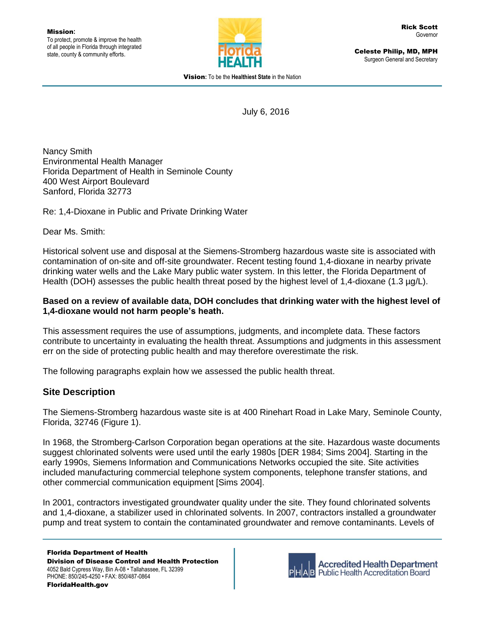

Celeste Philip, MD, MPH Surgeon General and Secretary

Vision**:** To be the **Healthiest State** in the Nation

July 6, 2016

Nancy Smith Environmental Health Manager Florida Department of Health in Seminole County 400 West Airport Boulevard Sanford, Florida 32773

Re: 1,4-Dioxane in Public and Private Drinking Water

Dear Ms. Smith:

Historical solvent use and disposal at the Siemens-Stromberg hazardous waste site is associated with contamination of on-site and off-site groundwater. Recent testing found 1,4-dioxane in nearby private drinking water wells and the Lake Mary public water system. In this letter, the Florida Department of Health (DOH) assesses the public health threat posed by the highest level of 1,4-dioxane (1.3 µg/L).

#### **Based on a review of available data, DOH concludes that drinking water with the highest level of 1,4-dioxane would not harm people's heath.**

This assessment requires the use of assumptions, judgments, and incomplete data. These factors contribute to uncertainty in evaluating the health threat. Assumptions and judgments in this assessment err on the side of protecting public health and may therefore overestimate the risk.

The following paragraphs explain how we assessed the public health threat.

# **Site Description**

The Siemens-Stromberg hazardous waste site is at 400 Rinehart Road in Lake Mary, Seminole County, Florida, 32746 (Figure 1).

In 1968, the Stromberg-Carlson Corporation began operations at the site. Hazardous waste documents suggest chlorinated solvents were used until the early 1980s [DER 1984; Sims 2004]. Starting in the early 1990s, Siemens Information and Communications Networks occupied the site. Site activities included manufacturing commercial telephone system components, telephone transfer stations, and other commercial communication equipment [Sims 2004].

In 2001, contractors investigated groundwater quality under the site. They found chlorinated solvents and 1,4-dioxane, a stabilizer used in chlorinated solvents. In 2007, contractors installed a groundwater pump and treat system to contain the contaminated groundwater and remove contaminants. Levels of

Florida Department of Health Division of Disease Control and Health Protection 4052 Bald Cypress Way, Bin A-08 • Tallahassee, FL 32399 PHONE: 850/245-4250 • FAX: 850/487-0864 FloridaHealth.gov



**Accredited Health Department Public Health Accreditation Board**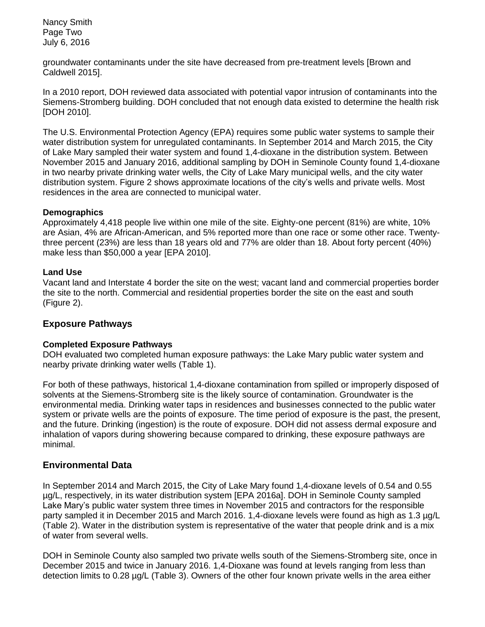Nancy Smith Page Two July 6, 2016

groundwater contaminants under the site have decreased from pre-treatment levels [Brown and Caldwell 2015].

In a 2010 report, DOH reviewed data associated with potential vapor intrusion of contaminants into the Siemens-Stromberg building. DOH concluded that not enough data existed to determine the health risk [DOH 2010].

The U.S. Environmental Protection Agency (EPA) requires some public water systems to sample their water distribution system for unregulated contaminants. In September 2014 and March 2015, the City of Lake Mary sampled their water system and found 1,4-dioxane in the distribution system. Between November 2015 and January 2016, additional sampling by DOH in Seminole County found 1,4-dioxane in two nearby private drinking water wells, the City of Lake Mary municipal wells, and the city water distribution system. Figure 2 shows approximate locations of the city's wells and private wells. Most residences in the area are connected to municipal water.

#### **Demographics**

Approximately 4,418 people live within one mile of the site. Eighty-one percent (81%) are white, 10% are Asian, 4% are African-American, and 5% reported more than one race or some other race. Twentythree percent (23%) are less than 18 years old and 77% are older than 18. About forty percent (40%) make less than \$50,000 a year [EPA 2010].

#### **Land Use**

Vacant land and Interstate 4 border the site on the west; vacant land and commercial properties border the site to the north. Commercial and residential properties border the site on the east and south (Figure 2).

# **Exposure Pathways**

#### **Completed Exposure Pathways**

DOH evaluated two completed human exposure pathways: the Lake Mary public water system and nearby private drinking water wells (Table 1).

For both of these pathways, historical 1,4-dioxane contamination from spilled or improperly disposed of solvents at the Siemens-Stromberg site is the likely source of contamination. Groundwater is the environmental media. Drinking water taps in residences and businesses connected to the public water system or private wells are the points of exposure. The time period of exposure is the past, the present, and the future. Drinking (ingestion) is the route of exposure. DOH did not assess dermal exposure and inhalation of vapors during showering because compared to drinking, these exposure pathways are minimal.

# **Environmental Data**

In September 2014 and March 2015, the City of Lake Mary found 1,4-dioxane levels of 0.54 and 0.55 µg/L, respectively, in its water distribution system [EPA 2016a]. DOH in Seminole County sampled Lake Mary's public water system three times in November 2015 and contractors for the responsible party sampled it in December 2015 and March 2016. 1,4-dioxane levels were found as high as 1.3 µg/L (Table 2). Water in the distribution system is representative of the water that people drink and is a mix of water from several wells.

DOH in Seminole County also sampled two private wells south of the Siemens-Stromberg site, once in December 2015 and twice in January 2016. 1,4-Dioxane was found at levels ranging from less than detection limits to 0.28 µg/L (Table 3). Owners of the other four known private wells in the area either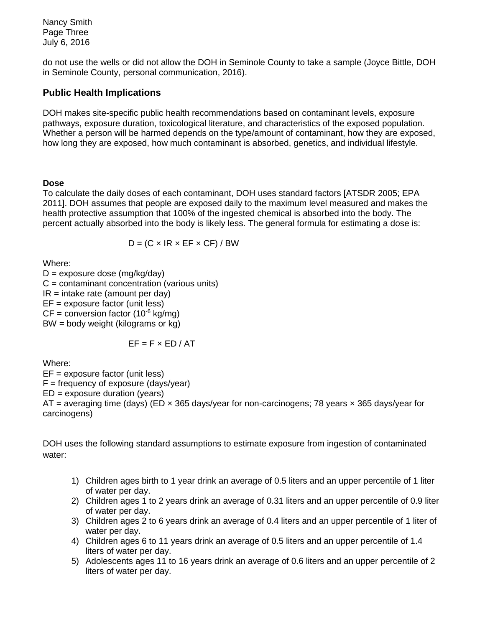Nancy Smith Page Three July 6, 2016

do not use the wells or did not allow the DOH in Seminole County to take a sample (Joyce Bittle, DOH in Seminole County, personal communication, 2016).

# **Public Health Implications**

DOH makes site-specific public health recommendations based on contaminant levels, exposure pathways, exposure duration, toxicological literature, and characteristics of the exposed population. Whether a person will be harmed depends on the type/amount of contaminant, how they are exposed, how long they are exposed, how much contaminant is absorbed, genetics, and individual lifestyle.

#### **Dose**

To calculate the daily doses of each contaminant, DOH uses standard factors [ATSDR 2005; EPA 2011]. DOH assumes that people are exposed daily to the maximum level measured and makes the health protective assumption that 100% of the ingested chemical is absorbed into the body. The percent actually absorbed into the body is likely less. The general formula for estimating a dose is:

$$
D = (C \times IR \times EF \times CF) / BW
$$

Where:

 $D =$  exposure dose (mg/kg/day)  $C =$  contaminant concentration (various units)  $IR = intake rate (amount per day)$ EF = exposure factor (unit less)  $CF = conversion factor (10<sup>-6</sup> kg/mg)$ BW = body weight (kilograms or kg)

$$
EF = F \times ED / AT
$$

Where:

EF = exposure factor (unit less)  $F = frequency of exposure (days/year)$  $ED =$  exposure duration (years) AT = averaging time (days) (ED  $\times$  365 days/year for non-carcinogens; 78 years  $\times$  365 days/year for carcinogens)

DOH uses the following standard assumptions to estimate exposure from ingestion of contaminated water:

- 1) Children ages birth to 1 year drink an average of 0.5 liters and an upper percentile of 1 liter of water per day.
- 2) Children ages 1 to 2 years drink an average of 0.31 liters and an upper percentile of 0.9 liter of water per day.
- 3) Children ages 2 to 6 years drink an average of 0.4 liters and an upper percentile of 1 liter of water per day.
- 4) Children ages 6 to 11 years drink an average of 0.5 liters and an upper percentile of 1.4 liters of water per day.
- 5) Adolescents ages 11 to 16 years drink an average of 0.6 liters and an upper percentile of 2 liters of water per day.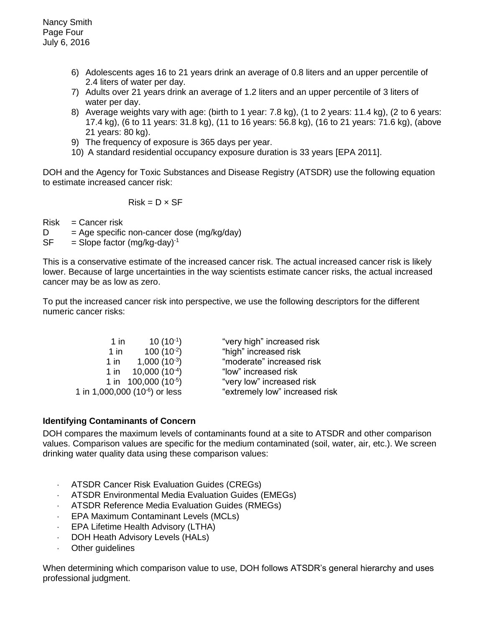- 6) Adolescents ages 16 to 21 years drink an average of 0.8 liters and an upper percentile of 2.4 liters of water per day.
- 7) Adults over 21 years drink an average of 1.2 liters and an upper percentile of 3 liters of water per day.
- 8) Average weights vary with age: (birth to 1 year: 7.8 kg), (1 to 2 years: 11.4 kg), (2 to 6 years: 17.4 kg), (6 to 11 years: 31.8 kg), (11 to 16 years: 56.8 kg), (16 to 21 years: 71.6 kg), (above 21 years: 80 kg).
- 9) The frequency of exposure is 365 days per year.
- 10) A standard residential occupancy exposure duration is 33 years [EPA 2011].

DOH and the Agency for Toxic Substances and Disease Registry (ATSDR) use the following equation to estimate increased cancer risk:

$$
Risk = D \times SF
$$

 $Risk = Cancer risk$ 

 $D = Age$  specific non-cancer dose (mg/kg/day)

 $SF = Slope factor (mg/kg-day)^{-1}$ 

This is a conservative estimate of the increased cancer risk. The actual increased cancer risk is likely lower. Because of large uncertainties in the way scientists estimate cancer risks, the actual increased cancer may be as low as zero.

To put the increased cancer risk into perspective, we use the following descriptors for the different numeric cancer risks:

| $1$ in                                     | $10(10^{-1})$                    | "very high" increased risk     |
|--------------------------------------------|----------------------------------|--------------------------------|
| 1 in                                       | $100(10^{-2})$                   | "high" increased risk          |
| 1 in                                       | $1,000(10^{-3})$                 | "moderate" increased risk      |
|                                            | 1 in $10,000(10^{-4})$           | "low" increased risk           |
|                                            | 1 in 100,000 (10 <sup>-5</sup> ) | "very low" increased risk      |
| 1 in 1,000,000 (10 <sup>-6</sup> ) or less |                                  | "extremely low" increased risk |

# **Identifying Contaminants of Concern**

DOH compares the maximum levels of contaminants found at a site to ATSDR and other comparison values. Comparison values are specific for the medium contaminated (soil, water, air, etc.). We screen drinking water quality data using these comparison values:

- ATSDR Cancer Risk Evaluation Guides (CREGs)
- ATSDR Environmental Media Evaluation Guides (EMEGs)
- ATSDR Reference Media Evaluation Guides (RMEGs)
- EPA Maximum Contaminant Levels (MCLs)
- EPA Lifetime Health Advisory (LTHA)
- DOH Heath Advisory Levels (HALs)
- Other guidelines

When determining which comparison value to use, DOH follows ATSDR's general hierarchy and uses professional judgment.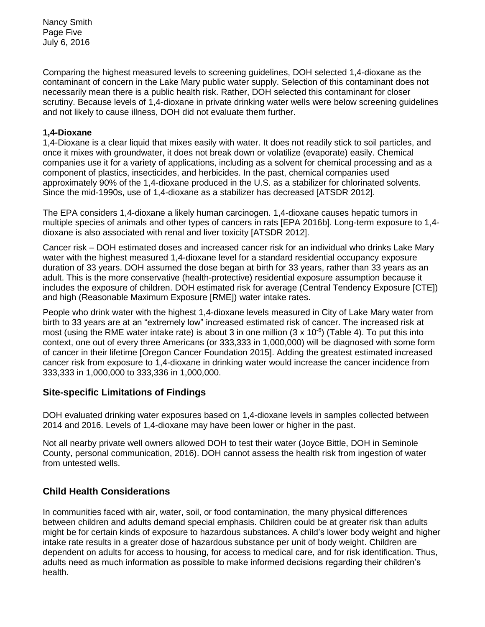Nancy Smith Page Five July 6, 2016

Comparing the highest measured levels to screening guidelines, DOH selected 1,4-dioxane as the contaminant of concern in the Lake Mary public water supply. Selection of this contaminant does not necessarily mean there is a public health risk. Rather, DOH selected this contaminant for closer scrutiny. Because levels of 1,4-dioxane in private drinking water wells were below screening guidelines and not likely to cause illness, DOH did not evaluate them further.

#### **1,4-Dioxane**

1,4-Dioxane is a clear liquid that mixes easily with water. It does not readily stick to soil particles, and once it mixes with groundwater, it does not break down or volatilize (evaporate) easily. Chemical companies use it for a variety of applications, including as a solvent for chemical processing and as a component of plastics, insecticides, and herbicides. In the past, chemical companies used approximately 90% of the 1,4-dioxane produced in the U.S. as a stabilizer for chlorinated solvents. Since the mid-1990s, use of 1,4-dioxane as a stabilizer has decreased [ATSDR 2012].

The EPA considers 1,4-dioxane a likely human carcinogen. 1,4-dioxane causes hepatic tumors in multiple species of animals and other types of cancers in rats [EPA 2016b]. Long-term exposure to 1,4 dioxane is also associated with renal and liver toxicity [ATSDR 2012].

Cancer risk – DOH estimated doses and increased cancer risk for an individual who drinks Lake Mary water with the highest measured 1,4-dioxane level for a standard residential occupancy exposure duration of 33 years. DOH assumed the dose began at birth for 33 years, rather than 33 years as an adult. This is the more conservative (health-protective) residential exposure assumption because it includes the exposure of children. DOH estimated risk for average (Central Tendency Exposure [CTE]) and high (Reasonable Maximum Exposure [RME]) water intake rates.

People who drink water with the highest 1,4-dioxane levels measured in City of Lake Mary water from birth to 33 years are at an "extremely low" increased estimated risk of cancer. The increased risk at most (using the RME water intake rate) is about 3 in one million (3 x 10 $\textdegree$ ) (Table 4). To put this into context, one out of every three Americans (or 333,333 in 1,000,000) will be diagnosed with some form of cancer in their lifetime [Oregon Cancer Foundation 2015]. Adding the greatest estimated increased cancer risk from exposure to 1,4-dioxane in drinking water would increase the cancer incidence from 333,333 in 1,000,000 to 333,336 in 1,000,000.

# **Site-specific Limitations of Findings**

DOH evaluated drinking water exposures based on 1,4-dioxane levels in samples collected between 2014 and 2016. Levels of 1,4-dioxane may have been lower or higher in the past.

Not all nearby private well owners allowed DOH to test their water (Joyce Bittle, DOH in Seminole County, personal communication, 2016). DOH cannot assess the health risk from ingestion of water from untested wells.

# **Child Health Considerations**

In communities faced with air, water, soil, or food contamination, the many physical differences between children and adults demand special emphasis. Children could be at greater risk than adults might be for certain kinds of exposure to hazardous substances. A child's lower body weight and higher intake rate results in a greater dose of hazardous substance per unit of body weight. Children are dependent on adults for access to housing, for access to medical care, and for risk identification. Thus, adults need as much information as possible to make informed decisions regarding their children's health.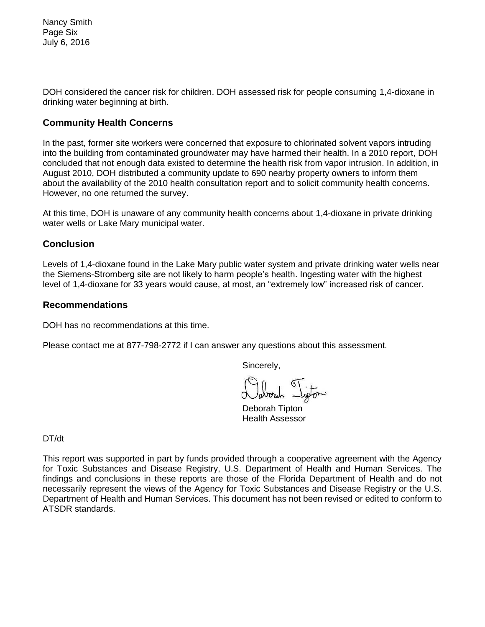Nancy Smith Page Six July 6, 2016

DOH considered the cancer risk for children. DOH assessed risk for people consuming 1,4-dioxane in drinking water beginning at birth.

# **Community Health Concerns**

In the past, former site workers were concerned that exposure to chlorinated solvent vapors intruding into the building from contaminated groundwater may have harmed their health. In a 2010 report, DOH concluded that not enough data existed to determine the health risk from vapor intrusion. In addition, in August 2010, DOH distributed a community update to 690 nearby property owners to inform them about the availability of the 2010 health consultation report and to solicit community health concerns. However, no one returned the survey.

At this time, DOH is unaware of any community health concerns about 1,4-dioxane in private drinking water wells or Lake Mary municipal water.

#### **Conclusion**

Levels of 1,4-dioxane found in the Lake Mary public water system and private drinking water wells near the Siemens-Stromberg site are not likely to harm people's health. Ingesting water with the highest level of 1,4-dioxane for 33 years would cause, at most, an "extremely low" increased risk of cancer.

#### **Recommendations**

DOH has no recommendations at this time.

Please contact me at 877-798-2772 if I can answer any questions about this assessment.

Sincerely,

Deborah Tipton Health Assessor

DT/dt

This report was supported in part by funds provided through a cooperative agreement with the Agency for Toxic Substances and Disease Registry, U.S. Department of Health and Human Services. The findings and conclusions in these reports are those of the Florida Department of Health and do not necessarily represent the views of the Agency for Toxic Substances and Disease Registry or the U.S. Department of Health and Human Services. This document has not been revised or edited to conform to ATSDR standards.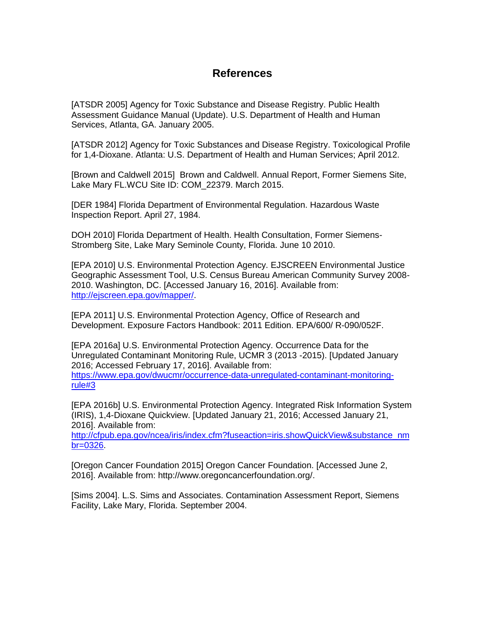# **References**

[ATSDR 2005] Agency for Toxic Substance and Disease Registry. Public Health Assessment Guidance Manual (Update). U.S. Department of Health and Human Services, Atlanta, GA. January 2005.

[ATSDR 2012] Agency for Toxic Substances and Disease Registry. Toxicological Profile for 1,4-Dioxane. Atlanta: U.S. Department of Health and Human Services; April 2012.

[Brown and Caldwell 2015] Brown and Caldwell. Annual Report, Former Siemens Site, Lake Mary FL.WCU Site ID: COM\_22379. March 2015.

[DER 1984] Florida Department of Environmental Regulation. Hazardous Waste Inspection Report. April 27, 1984.

DOH 2010] Florida Department of Health. Health Consultation, Former Siemens-Stromberg Site, Lake Mary Seminole County, Florida. June 10 2010.

[EPA 2010] U.S. Environmental Protection Agency. EJSCREEN Environmental Justice Geographic Assessment Tool, U.S. Census Bureau American Community Survey 2008- 2010. Washington, DC. [Accessed January 16, 2016]. Available from: [http://ejscreen.epa.gov/mapper/.](http://ejscreen.epa.gov/mapper/)

[EPA 2011] U.S. Environmental Protection Agency, Office of Research and Development. Exposure Factors Handbook: 2011 Edition. EPA/600/ R-090/052F.

[EPA 2016a] U.S. Environmental Protection Agency. Occurrence Data for the Unregulated Contaminant Monitoring Rule, UCMR 3 (2013 -2015). [Updated January 2016; Accessed February 17, 2016]. Available from: [https://www.epa.gov/dwucmr/occurrence-data-unregulated-contaminant-monitoring](https://www.epa.gov/dwucmr/occurrence-data-unregulated-contaminant-monitoring-rule#3)[rule#3](https://www.epa.gov/dwucmr/occurrence-data-unregulated-contaminant-monitoring-rule#3)

[EPA 2016b] U.S. Environmental Protection Agency. Integrated Risk Information System (IRIS), 1,4-Dioxane Quickview. [Updated January 21, 2016; Accessed January 21, 2016]. Available from:

[http://cfpub.epa.gov/ncea/iris/index.cfm?fuseaction=iris.showQuickView&substance\\_nm](http://cfpub.epa.gov/ncea/iris/index.cfm?fuseaction=iris.showQuickView&substance_nmbr=0326) [br=0326.](http://cfpub.epa.gov/ncea/iris/index.cfm?fuseaction=iris.showQuickView&substance_nmbr=0326)

[Oregon Cancer Foundation 2015] Oregon Cancer Foundation. [Accessed June 2, 2016]. Available from: http://www.oregoncancerfoundation.org/.

[Sims 2004]. L.S. Sims and Associates. Contamination Assessment Report, Siemens Facility, Lake Mary, Florida. September 2004.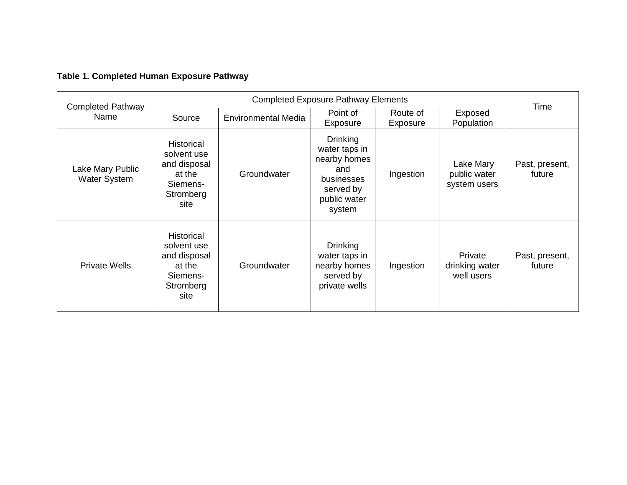# **Table 1. Completed Human Exposure Pathway**

| <b>Completed Pathway</b><br>Name | <b>Completed Exposure Pathway Elements</b>                                                  |                            |                                                                                                              |                      |                                                |                          |
|----------------------------------|---------------------------------------------------------------------------------------------|----------------------------|--------------------------------------------------------------------------------------------------------------|----------------------|------------------------------------------------|--------------------------|
|                                  | Source                                                                                      | <b>Environmental Media</b> | Point of<br>Exposure                                                                                         | Route of<br>Exposure | Exposed<br>Population                          | Time                     |
| Lake Mary Public<br>Water System | <b>Historical</b><br>solvent use<br>and disposal<br>at the<br>Siemens-<br>Stromberg<br>site | Groundwater                | <b>Drinking</b><br>water taps in<br>nearby homes<br>and<br>businesses<br>served by<br>public water<br>system | Ingestion            | Lake Mary<br>public water<br>system users      | Past, present,<br>future |
| <b>Private Wells</b>             | <b>Historical</b><br>solvent use<br>and disposal<br>at the<br>Siemens-<br>Stromberg<br>site | Groundwater                | <b>Drinking</b><br>water taps in<br>nearby homes<br>served by<br>private wells                               | Ingestion            | <b>Private</b><br>drinking water<br>well users | Past, present,<br>future |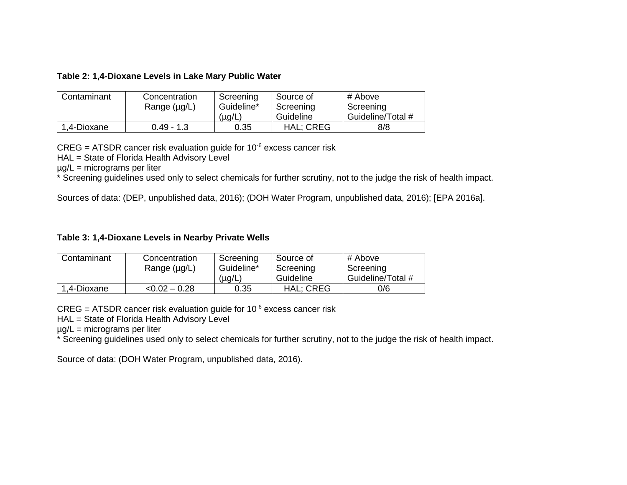| Table 2: 1,4-Dioxane Levels in Lake Mary Public Water |
|-------------------------------------------------------|
|-------------------------------------------------------|

| Contaminant | Concentration     | Screening   | Source of        | # Above           |
|-------------|-------------------|-------------|------------------|-------------------|
|             | Range $(\mu g/L)$ | Guideline*  | Screening        | Screening         |
|             |                   | $(\mu g/L)$ | Guideline        | Guideline/Total # |
| 1,4-Dioxane | $0.49 - 1.3$      | 0.35        | <b>HAL: CREG</b> | 8/8               |

 $CREG = ATSDR$  cancer risk evaluation guide for  $10^{-6}$  excess cancer risk

HAL = State of Florida Health Advisory Level

µg/L = micrograms per liter

\* Screening guidelines used only to select chemicals for further scrutiny, not to the judge the risk of health impact.

Sources of data: (DEP, unpublished data, 2016); (DOH Water Program, unpublished data, 2016); [EPA 2016a].

#### **Table 3: 1,4-Dioxane Levels in Nearby Private Wells**

| Contaminant | Concentration<br>Range $(\mu g/L)$ | Screening<br>Guideline* | Source of<br>Screening | # Above<br>Screening |  |
|-------------|------------------------------------|-------------------------|------------------------|----------------------|--|
|             |                                    | (µg/L)                  | Guideline              | Guideline/Total #    |  |
| 1,4-Dioxane | $< 0.02 - 0.28$                    | 0.35                    | <b>HAL: CREG</b>       | 0/6                  |  |

 $CREG = ATSDR$  cancer risk evaluation guide for 10 $6$  excess cancer risk

HAL = State of Florida Health Advisory Level

µg/L = micrograms per liter

\* Screening guidelines used only to select chemicals for further scrutiny, not to the judge the risk of health impact.

Source of data: (DOH Water Program, unpublished data, 2016).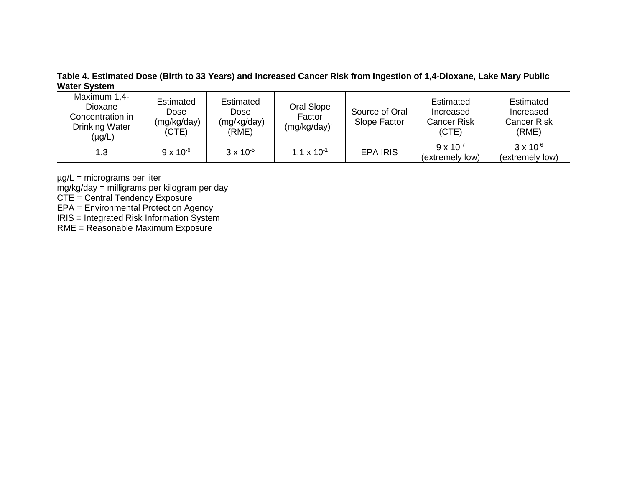**Table 4. Estimated Dose (Birth to 33 Years) and Increased Cancer Risk from Ingestion of 1,4-Dioxane, Lake Mary Public Water System**

| Maximum 1,4-<br>Dioxane<br>Concentration in<br><b>Drinking Water</b><br>(µg/L) | Estimated<br>Dose<br>(mg/kg/day)<br>(CTE) | <b>Estimated</b><br>Dose<br>(mg/kg/day)<br>(RME) | Oral Slope<br>Factor<br>$(mg/kg/day)^{-1}$ | Source of Oral<br>Slope Factor | <b>Estimated</b><br>Increased<br><b>Cancer Risk</b><br>(CTE) | <b>Estimated</b><br>Increased<br><b>Cancer Risk</b><br>(RME) |
|--------------------------------------------------------------------------------|-------------------------------------------|--------------------------------------------------|--------------------------------------------|--------------------------------|--------------------------------------------------------------|--------------------------------------------------------------|
| 1.3                                                                            | $9 \times 10^{-6}$                        | $3 \times 10^{-5}$                               | $1.1 \times 10^{-1}$                       | <b>EPA IRIS</b>                | $9 \times 10^{-7}$<br>(extremely low)                        | $3 \times 10^{-6}$<br>(extremely low)                        |

µg/L = micrograms per liter

mg/kg/day = milligrams per kilogram per day

CTE = Central Tendency Exposure

EPA = Environmental Protection Agency

IRIS = Integrated Risk Information System

RME = Reasonable Maximum Exposure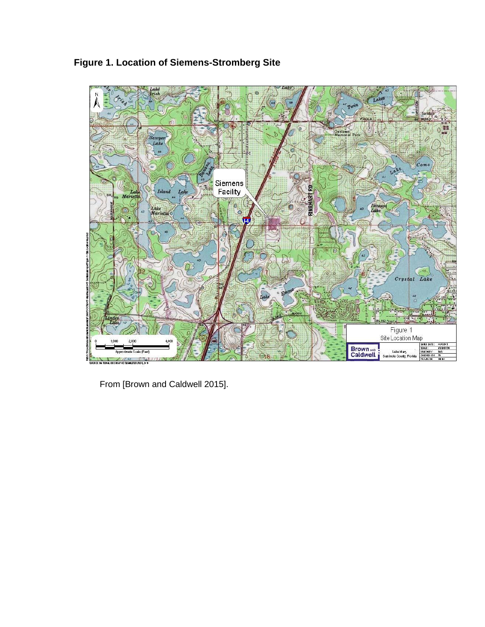

**Figure 1. Location of Siemens-Stromberg Site**

From [Brown and Caldwell 2015].